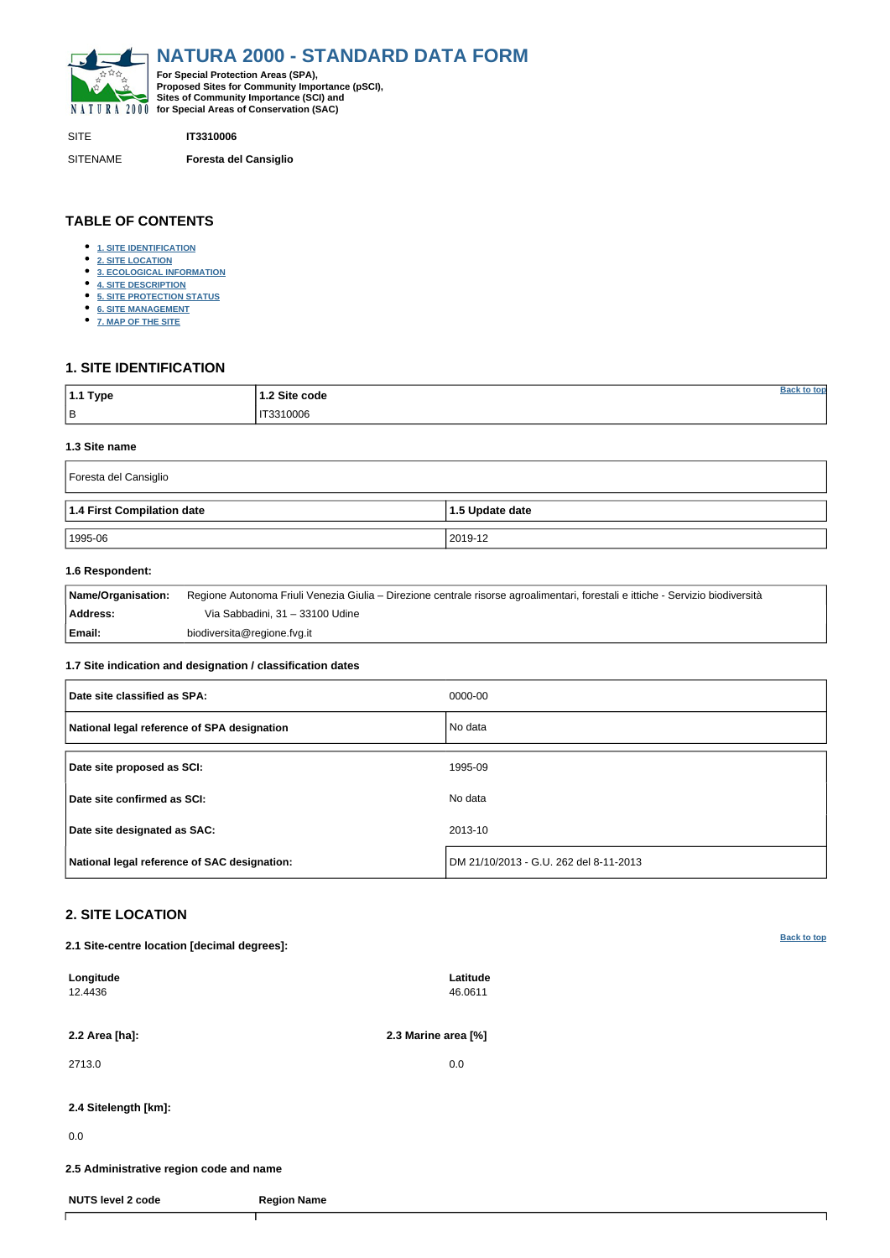<span id="page-0-0"></span>

SITE **IT3310006**

SITENAME **Foresta del Cansiglio**

| <sup>∣</sup> 1.1 Type | 1.2 Site code | tor |
|-----------------------|---------------|-----|
| B                     | IT3310006     |     |

# **TABLE OF CONTENTS**

- **[1. SITE IDENTIFICATION](#page-0-1)**
- **[2. SITE LOCATION](#page-0-2)**
- **[3. ECOLOGICAL INFORMATION](#page-1-0)**
- **[4. SITE DESCRIPTION](#page-3-0)**
- **[5. SITE PROTECTION STATUS](#page-4-0)**
- **[6. SITE MANAGEMENT](#page-4-1)**
- **[7. MAP OF THE SITE](#page-4-2)**

# <span id="page-0-1"></span>**1. SITE IDENTIFICATION**

#### **1.3 Site name**

| Foresta del Cansiglio      |                         |  |  |  |  |  |  |
|----------------------------|-------------------------|--|--|--|--|--|--|
| 1.4 First Compilation date | $\vert$ 1.5 Update date |  |  |  |  |  |  |
| 1995-06                    | 2019-12                 |  |  |  |  |  |  |

## **1.6 Respondent:**

| Name/Organisation: | Regione Autonoma Friuli Venezia Giulia – Direzione centrale risorse agroalimentari, forestali e ittiche - Servizio biodiversità |
|--------------------|---------------------------------------------------------------------------------------------------------------------------------|
| Address:           | Via Sabbadini, 31 – 33100 Udine                                                                                                 |
| Email:             | biodiversita@regione.fvg.it                                                                                                     |

## **1.7 Site indication and designation / classification dates**

| Date site classified as SPA:                 | 0000-00                                |
|----------------------------------------------|----------------------------------------|
| National legal reference of SPA designation  | No data                                |
| Date site proposed as SCI:                   | 1995-09                                |
| Date site confirmed as SCI:                  | No data                                |
| Date site designated as SAC:                 | 2013-10                                |
| National legal reference of SAC designation: | DM 21/10/2013 - G.U. 262 del 8-11-2013 |

# <span id="page-0-2"></span>**2. SITE LOCATION**

**2.1 Site-centre location [decimal degrees]:**

| Longitude<br>12.4436                    |                    | Latitude<br>46.0611 |  |
|-----------------------------------------|--------------------|---------------------|--|
| 2.2 Area [ha]:                          |                    | 2.3 Marine area [%] |  |
| 2713.0                                  |                    | 0.0                 |  |
| 2.4 Sitelength [km]:                    |                    |                     |  |
| 0.0                                     |                    |                     |  |
| 2.5 Administrative region code and name |                    |                     |  |
| <b>NUTS level 2 code</b>                | <b>Region Name</b> |                     |  |
|                                         |                    |                     |  |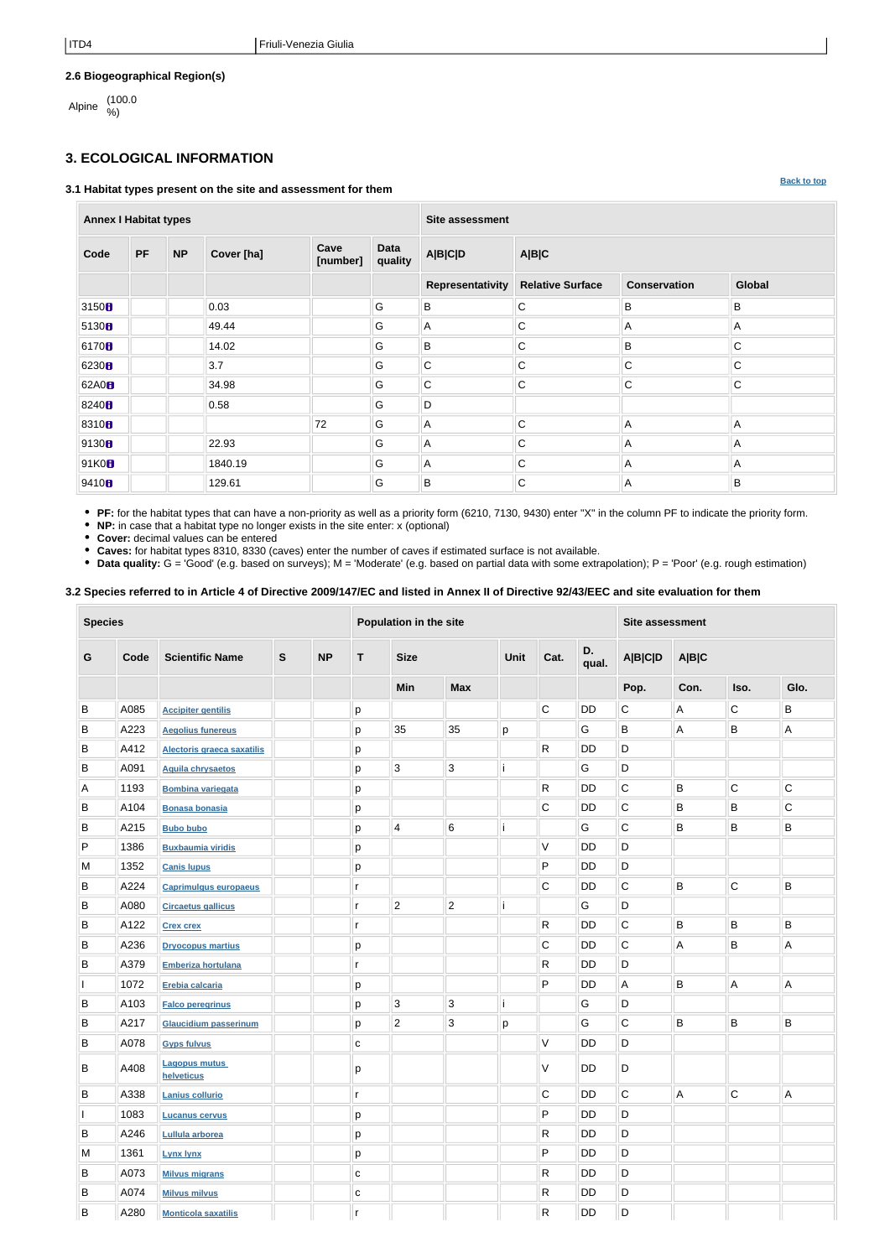**[Back to top](#page-0-0)**

# **2.6 Biogeographical Region(s)**

Alpine (100.0

# <span id="page-1-0"></span>**3. ECOLOGICAL INFORMATION**

### **3.1 Habitat types present on the site and assessment for them**

**Annex I Habitat types Site assessment Code PF NP Cover [ha] Cave [number] Data quality A|B|C|D A|B|C Representativity Relative Surface Conservation Global** 3150 **B** B B B B B B B B B B 5130 49.44 G A C A A 6170 14.02 G B C B C 6230 3.7 G C C C C 62A0 34.98 G C C C C 8240 0.58 G G D 8310 72 G A C A A 9130 22.93 G A C A A 91K0 1840.19 G A C A A 9410 129.61 G B C A B

**PF:** for the habitat types that can have a non-priority as well as a priority form (6210, 7130, 9430) enter "X" in the column PF to indicate the priority form.

**NP:** in case that a habitat type no longer exists in the site enter: x (optional)

**Cover:** decimal values can be entered

**Caves:** for habitat types 8310, 8330 (caves) enter the number of caves if estimated surface is not available.

**Data quality:** G = 'Good' (e.g. based on surveys); M = 'Moderate' (e.g. based on partial data with some extrapolation); P = 'Poor' (e.g. rough estimation)

## **3.2 Species referred to in Article 4 of Directive 2009/147/EC and listed in Annex II of Directive 92/43/EEC and site evaluation for them**

| <b>Species</b> |      |                                    |              |           | Population in the site |                |                |      |              |             | <b>Site assessment</b> |                |                |             |
|----------------|------|------------------------------------|--------------|-----------|------------------------|----------------|----------------|------|--------------|-------------|------------------------|----------------|----------------|-------------|
| G              | Code | <b>Scientific Name</b>             | $\mathbf{s}$ | <b>NP</b> | T                      | <b>Size</b>    |                | Unit | Cat.         | D.<br>qual. | <b>A B C D</b>         | A B C          |                |             |
|                |      |                                    |              |           |                        | Min            | <b>Max</b>     |      |              |             | Pop.                   | Con.           | Iso.           | Glo.        |
| B              | A085 | <b>Accipiter gentilis</b>          |              |           | р                      |                |                |      | $\mathsf C$  | <b>DD</b>   | $\mathsf C$            | A              | $\mathsf C$    | B           |
| Β              | A223 | <b>Aegolius funereus</b>           |              |           | р                      | 35             | 35             | p    |              | G           | B                      | A              | $\sf B$        | Α           |
| B              | A412 | Alectoris graeca saxatilis         |              |           | р                      |                |                |      | R            | DD          | D                      |                |                |             |
| В              | A091 | <b>Aquila chrysaetos</b>           |              |           | р                      | $\sqrt{3}$     | $\mathbf{3}$   |      |              | G           | D                      |                |                |             |
| A              | 1193 | <b>Bombina variegata</b>           |              |           | р                      |                |                |      | R            | DD          | $\mathsf C$            | B              | $\overline{C}$ | $\mathsf C$ |
| B              | A104 | <b>Bonasa bonasia</b>              |              |           | р                      |                |                |      | $\mathsf C$  | DD          | $\mathsf C$            | B              | B              | $\mathsf C$ |
| B              | A215 | <b>Bubo bubo</b>                   |              |           | р                      | $\overline{4}$ | $\,6$          |      |              | G           | $\mathsf C$            | B              | B              | B           |
| P              | 1386 | <b>Buxbaumia viridis</b>           |              |           | р                      |                |                |      | V            | DD          | D                      |                |                |             |
| M              | 1352 | <b>Canis lupus</b>                 |              |           | р                      |                |                |      | P            | DD          | D                      |                |                |             |
| В              | A224 | <b>Caprimulgus europaeus</b>       |              |           | r                      |                |                |      | C            | DD          | $\mathsf C$            | $\sf B$        | $\mathsf C$    | B           |
| В              | A080 | <b>Circaetus gallicus</b>          |              |           | r                      | $\overline{2}$ | $\overline{c}$ |      |              | G           | D                      |                |                |             |
| Β              | A122 | <b>Crex crex</b>                   |              |           | r                      |                |                |      | R            | DD          | $\mathsf C$            | $\sf B$        | $\sf B$        | B           |
| B              | A236 | <b>Dryocopus martius</b>           |              |           | р                      |                |                |      | $\mathsf C$  | DD          | $\mathsf C$            | A              | $\sf B$        | Α           |
| B              | A379 | Emberiza hortulana                 |              |           | r                      |                |                |      | R            | DD          | D                      |                |                |             |
|                | 1072 | Erebia calcaria                    |              |           | р                      |                |                |      | P            | DD          | A                      | B              | A              | А           |
| Β              | A103 | <b>Falco peregrinus</b>            |              |           | р                      | 3              | $\mathbf{3}$   |      |              | G           | D                      |                |                |             |
| В              | A217 | <b>Glaucidium passerinum</b>       |              |           | р                      | $\overline{2}$ | $\mathbf{3}$   | p    |              | G           | $\mathsf C$            | B              | B              | B           |
| B              | A078 | <b>Gyps fulvus</b>                 |              |           | С                      |                |                |      | V            | DD          | D                      |                |                |             |
| В              | A408 | <b>Lagopus mutus</b><br>helveticus |              |           | р                      |                |                |      | V            | DD          | D                      |                |                |             |
| B              | A338 | Lanius collurio                    |              |           | r                      |                |                |      | С            | DD          | $\overline{C}$         | $\overline{A}$ | $\overline{C}$ | A           |
|                | 1083 | <b>Lucanus cervus</b>              |              |           | р                      |                |                |      | P            | DD          | D                      |                |                |             |
| В              | A246 | Lullula arborea                    |              |           | р                      |                |                |      | R            | DD          | D                      |                |                |             |
| M              | 1361 | <b>Lynx lynx</b>                   |              |           | р                      |                |                |      | P            | <b>DD</b>   | D                      |                |                |             |
| Β              | A073 | <b>Milvus migrans</b>              |              |           | $\mathbf C$            |                |                |      | R            | DD          | D                      |                |                |             |
| B              | A074 | <b>Milvus milvus</b>               |              |           | $\mathbf C$            |                |                |      | R            | DD          | D                      |                |                |             |
| B              | A280 | <b>Monticola saxatilis</b>         |              |           | r                      |                |                |      | $\mathsf{R}$ | DD          | D                      |                |                |             |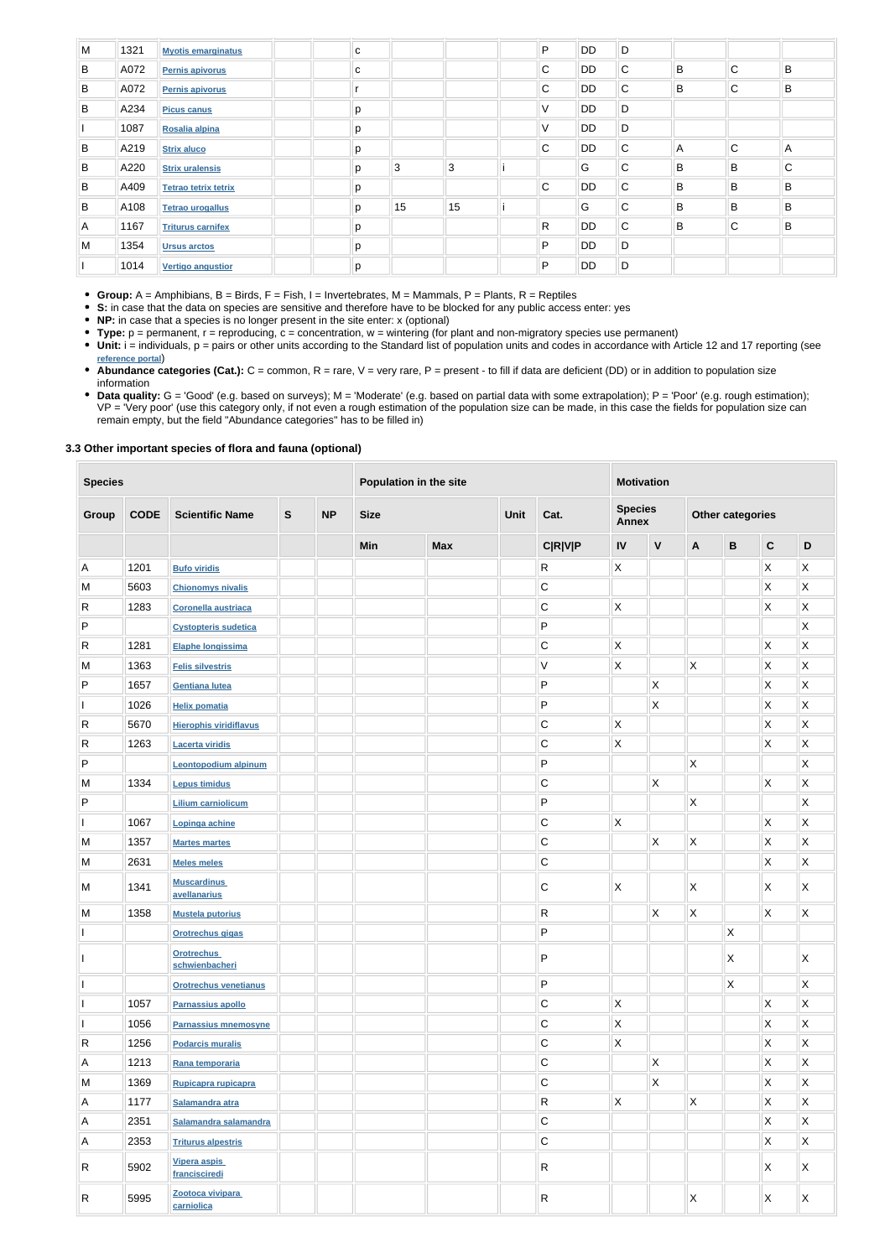| M | 1321 | <b>Myotis emarginatus</b>   | C |    |    | P            | <b>DD</b> | D            |   |              |              |
|---|------|-----------------------------|---|----|----|--------------|-----------|--------------|---|--------------|--------------|
| B | A072 | <b>Pernis apivorus</b>      | C |    |    | C            | <b>DD</b> | $\mathsf{C}$ | B | $\mathsf{C}$ | B            |
| B | A072 | <b>Pernis apivorus</b>      |   |    |    | $\mathsf{C}$ | <b>DD</b> | $\mathsf{C}$ | B | $\mathsf{C}$ | B            |
| B | A234 | <b>Picus canus</b>          | p |    |    | V            | DD        | D            |   |              |              |
|   | 1087 | Rosalia alpina              | p |    |    | V            | <b>DD</b> | D            |   |              |              |
| B | A219 | <b>Strix aluco</b>          | p |    |    | C            | <b>DD</b> | $\mathsf{C}$ | A | C            | A            |
| B | A220 | <b>Strix uralensis</b>      | p | 3  | 3  |              | G         | $\mathsf{C}$ | B | B            | $\mathsf{C}$ |
| B | A409 | <b>Tetrao tetrix tetrix</b> | p |    |    | $\mathsf{C}$ | <b>DD</b> | $\mathsf{C}$ | B | B            | B            |
| B | A108 | <b>Tetrao urogallus</b>     | p | 15 | 15 |              | G         | $\mathsf{C}$ | B | B            | B            |
| A | 1167 | <b>Triturus carnifex</b>    | p |    |    | $\mathsf{R}$ | DD        | $\mathsf{C}$ | B | $\mathsf C$  | B            |
| M | 1354 | <b>Ursus arctos</b>         | p |    |    | P            | <b>DD</b> | D            |   |              |              |
|   | 1014 | <b>Vertigo angustior</b>    | p |    |    | P            | <b>DD</b> | D            |   |              |              |

**Group:** A = Amphibians, B = Birds, F = Fish, I = Invertebrates, M = Mammals, P = Plants, R = Reptiles

Unit: i = individuals, p = pairs or other units according to the Standard list of population units and codes in accordance with Article 12 and 17 reporting (see **[reference portal](http://bd.eionet.europa.eu/activities/Natura_2000/reference_portal)**)

**S:** in case that the data on species are sensitive and therefore have to be blocked for any public access enter: yes

**NP:** in case that a species is no longer present in the site enter: x (optional)

- Abundance categories (Cat.): C = common, R = rare, V = very rare, P = present to fill if data are deficient (DD) or in addition to population size information
- Data quality: G = 'Good' (e.g. based on surveys); M = 'Moderate' (e.g. based on partial data with some extrapolation); P = 'Poor' (e.g. rough estimation); VP = 'Very poor' (use this category only, if not even a rough estimation of the population size can be made, in this case the fields for population size can remain empty, but the field "Abundance categories" has to be filled in)

**Type:** p = permanent, r = reproducing, c = concentration, w = wintering (for plant and non-migratory species use permanent)

## **3.3 Other important species of flora and fauna (optional)**

| <b>Species</b> |             |                                      | Population in the site |           |             |            | <b>Motivation</b> |                |              |                                |                           |                         |                         |                         |
|----------------|-------------|--------------------------------------|------------------------|-----------|-------------|------------|-------------------|----------------|--------------|--------------------------------|---------------------------|-------------------------|-------------------------|-------------------------|
| <b>Group</b>   | <b>CODE</b> | <b>Scientific Name</b>               | $\mathbf{s}$           | <b>NP</b> | <b>Size</b> |            |                   | Cat.           |              | <b>Species</b><br><b>Annex</b> |                           | <b>Other categories</b> |                         |                         |
|                |             |                                      |                        |           | Min         | <b>Max</b> |                   | <b>C R V P</b> | IV           | $\mathsf{V}$                   | A                         | $\, {\bf B}$            | $\mathbf C$             | D                       |
| A              | 1201        | <b>Bufo viridis</b>                  |                        |           |             |            |                   | $\mathsf{R}$   | X            |                                |                           |                         | X                       | X                       |
| M              | 5603        | <b>Chionomys nivalis</b>             |                        |           |             |            |                   | $\mathsf C$    |              |                                |                           |                         | X                       | X                       |
| R              | 1283        | Coronella austriaca                  |                        |           |             |            |                   | $\mathsf C$    | X            |                                |                           |                         | $\mathsf{X}$            | X                       |
| P              |             | <b>Cystopteris sudetica</b>          |                        |           |             |            |                   | ${\sf P}$      |              |                                |                           |                         |                         | $\mathsf{X}$            |
| $\mathsf{R}$   | 1281        | Elaphe longissima                    |                        |           |             |            |                   | $\mathsf C$    | Χ            |                                |                           |                         | X                       | $\mathsf X$             |
| M              | 1363        | <b>Felis silvestris</b>              |                        |           |             |            |                   | $\mathsf V$    | X            |                                | $\mathsf{X}$              |                         | Χ                       | $\mathsf{\overline{X}}$ |
| P              | 1657        | <b>Gentiana lutea</b>                |                        |           |             |            |                   | ${\sf P}$      |              | X                              |                           |                         | Χ                       | X                       |
| I              | 1026        | <b>Helix pomatia</b>                 |                        |           |             |            |                   | ${\sf P}$      |              | $\pmb{\times}$                 |                           |                         | Χ                       | X                       |
| ${\sf R}$      | 5670        | <b>Hierophis viridiflavus</b>        |                        |           |             |            |                   | $\mathsf C$    | X            |                                |                           |                         | Χ                       | X                       |
| $\mathsf{R}$   | 1263        | <b>Lacerta viridis</b>               |                        |           |             |            |                   | C              | X            |                                |                           |                         | X                       | X                       |
| P              |             | <b>Leontopodium alpinum</b>          |                        |           |             |            |                   | P              |              |                                | $\sf X$                   |                         |                         | X                       |
| M              | 1334        | <b>Lepus timidus</b>                 |                        |           |             |            |                   | $\mathsf C$    |              | $\mathsf X$                    |                           |                         | $\mathsf{\overline{X}}$ | $\mathsf X$             |
| P              |             | <b>Lilium carniolicum</b>            |                        |           |             |            |                   | P              |              |                                | $\boldsymbol{\mathsf{X}}$ |                         |                         | X                       |
| $\mathsf{I}$   | 1067        | Lopinga achine                       |                        |           |             |            |                   | $\mathsf C$    | $\mathsf{X}$ |                                |                           |                         | $\mathsf{\overline{X}}$ | X                       |
| M              | 1357        | <b>Martes martes</b>                 |                        |           |             |            |                   | $\mathsf C$    |              | $\boldsymbol{\mathsf{X}}$      | $\mathsf X$               |                         | X                       | $\mathsf{X}$            |
| M              | 2631        | <b>Meles meles</b>                   |                        |           |             |            |                   | $\mathsf C$    |              |                                |                           |                         | X                       | $\mathsf{\overline{X}}$ |
| M              | 1341        | <b>Muscardinus</b><br>avellanarius   |                        |           |             |            |                   | $\mathsf C$    | X            |                                | X                         |                         | Χ                       | X                       |
| M              | 1358        | <b>Mustela putorius</b>              |                        |           |             |            |                   | R              |              | X                              | $\boldsymbol{\mathsf{X}}$ |                         | X                       | X                       |
|                |             | <b>Orotrechus gigas</b>              |                        |           |             |            |                   | P              |              |                                |                           | Χ                       |                         |                         |
| J.             |             | <b>Orotrechus</b><br>schwienbacheri  |                        |           |             |            |                   | P              |              |                                |                           | X                       |                         | X                       |
|                |             | <b>Orotrechus venetianus</b>         |                        |           |             |            |                   | ${\sf P}$      |              |                                |                           | $\mathsf{X}$            |                         | $\mathsf{X}$            |
|                | 1057        | Parnassius apollo                    |                        |           |             |            |                   | $\mathsf C$    | Χ            |                                |                           |                         | X                       | $\mathsf{X}$            |
|                | 1056        | Parnassius mnemosyne                 |                        |           |             |            |                   | $\mathsf C$    | X            |                                |                           |                         | Χ                       | $\mathsf{X}$            |
| $\mathsf R$    | 1256        | <b>Podarcis muralis</b>              |                        |           |             |            |                   | $\mathsf C$    | $\mathsf X$  |                                |                           |                         | $\mathsf{\overline{X}}$ | $\mathsf{X}$            |
| Α              | 1213        | Rana temporaria                      |                        |           |             |            |                   | $\mathsf C$    |              | $\mathsf{\overline{X}}$        |                           |                         | X                       | $\mathsf{X}$            |
| M              | 1369        | Rupicapra rupicapra                  |                        |           |             |            |                   | $\mathsf C$    |              | $\mathsf{X}$                   |                           |                         | X                       | $\mathsf{X}$            |
| Α              | 1177        | Salamandra atra                      |                        |           |             |            |                   | $\mathsf{R}$   | $\mathsf X$  |                                | $\mathsf{X}$              |                         | X                       | $\mathsf{X}$            |
| A              | 2351        | Salamandra salamandra                |                        |           |             |            |                   | $\mathsf{C}$   |              |                                |                           |                         | $\mathsf{X}$            | $\mathsf{X}$            |
| Α              | 2353        | <b>Triturus alpestris</b>            |                        |           |             |            |                   | $\mathbf C$    |              |                                |                           |                         | $\mathsf{X}$            | $\mathsf{X}$            |
| R              | 5902        | <b>Vipera aspis</b><br>francisciredi |                        |           |             |            |                   | $\mathsf{R}$   |              |                                |                           |                         | X                       | X.                      |
| $\mathsf{R}$   | 5995        | Zootoca vivipara<br>carniolica       |                        |           |             |            |                   | $\mathsf{R}$   |              |                                | $\mathsf{X}$              |                         | X                       | X                       |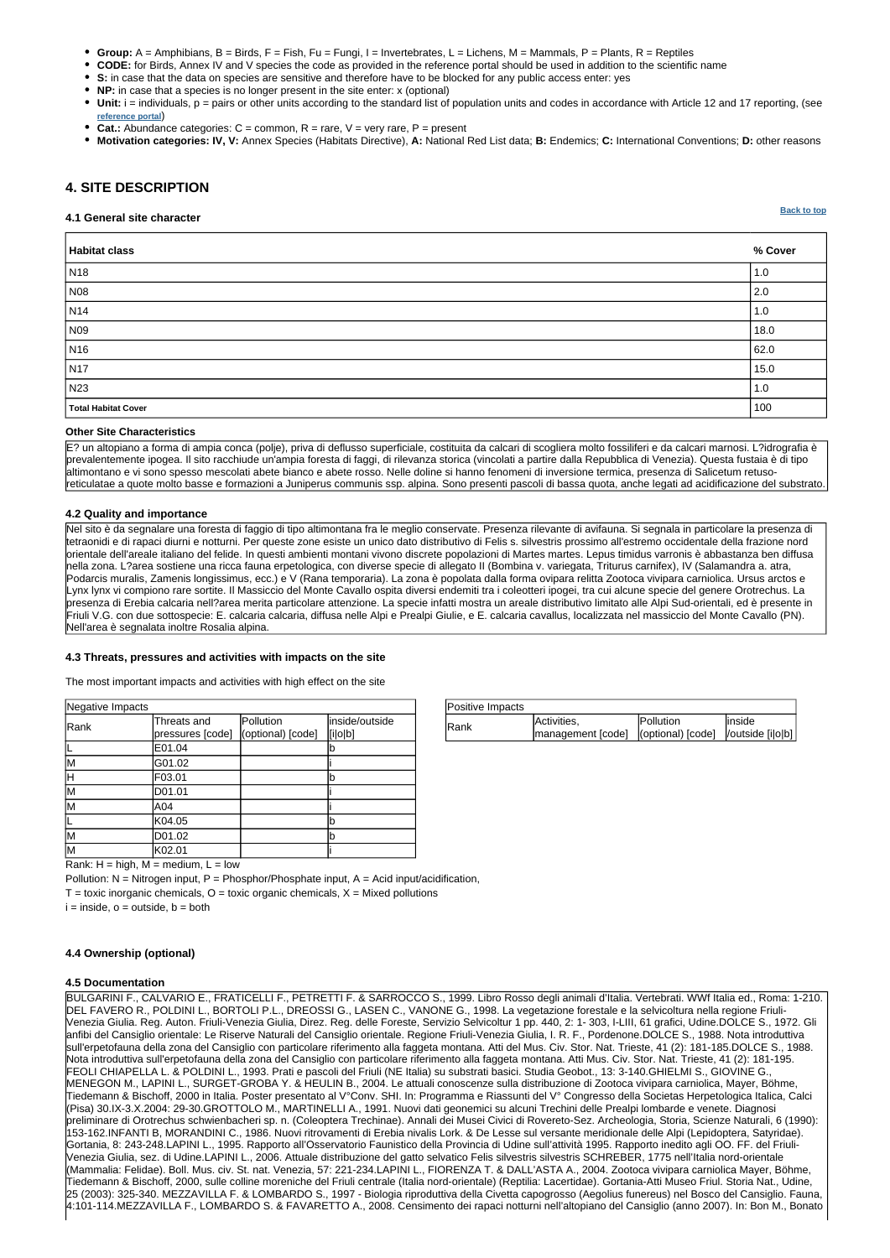| Positive Impacts |                                                        |                  |         |
|------------------|--------------------------------------------------------|------------------|---------|
| Rank             | Activities,                                            | <b>Pollution</b> | linside |
|                  | management [code]  (optional) [code]  /outside [i o b] |                  |         |

| Negative Impacts |                                 |                                |                           |
|------------------|---------------------------------|--------------------------------|---------------------------|
| Rank             | Threats and<br>pressures [code] | Pollution<br>(optional) [code] | inside/outside<br>[i o b] |
|                  | E01.04                          |                                |                           |
| M                | G01.02                          |                                |                           |
| H                | F03.01                          |                                |                           |
| M                | D01.01                          |                                |                           |
| M                | A04                             |                                |                           |
|                  | K04.05                          |                                | b                         |
| M                | D01.02                          |                                |                           |
| M                | K02.01                          |                                |                           |

**[Back to top](#page-0-0)**

- **Group:** A = Amphibians, B = Birds, F = Fish, Fu = Fungi, I = Invertebrates, L = Lichens, M = Mammals, P = Plants, R = Reptiles
- **CODE:** for Birds, Annex IV and V species the code as provided in the reference portal should be used in addition to the scientific name
- **S:** in case that the data on species are sensitive and therefore have to be blocked for any public access enter: yes
- **NP:** in case that a species is no longer present in the site enter: x (optional)
- Unit: i = individuals, p = pairs or other units according to the standard list of population units and codes in accordance with Article 12 and 17 reporting, (see **[reference portal](http://bd.eionet.europa.eu/activities/Natura_2000/reference_portal)**)
- **Cat.:** Abundance categories:  $C =$  common,  $R =$  rare,  $V =$  very rare,  $P =$  present
- **Motivation categories: IV, V:** Annex Species (Habitats Directive), **A:** National Red List data; **B:** Endemics; **C:** International Conventions; **D:** other reasons

# <span id="page-3-0"></span>**4. SITE DESCRIPTION**

#### **4.1 General site character**

| Habitat class       | % Cover     |
|---------------------|-------------|
| N <sub>18</sub>     | 1.0         |
| N08                 | $\vert$ 2.0 |
| N <sub>14</sub>     | 1.0         |
| N09                 | 18.0        |
| N <sub>16</sub>     | 62.0        |
| N <sub>17</sub>     | 15.0        |
| N23                 | 1.0         |
| Total Habitat Cover | 100         |

#### **Other Site Characteristics**

E? un altopiano a forma di ampia conca (polje), priva di deflusso superficiale, costituita da calcari di scogliera molto fossiliferi e da calcari marnosi. L?idrografia è prevalentemente ipogea. Il sito racchiude un'ampia foresta di faggi, di rilevanza storica (vincolati a partire dalla Repubblica di Venezia). Questa fustaia è di tipo altimontano e vi sono spesso mescolati abete bianco e abete rosso. Nelle doline si hanno fenomeni di inversione termica, presenza di Salicetum retusoreticulatae a quote molto basse e formazioni a Juniperus communis ssp. alpina. Sono presenti pascoli di bassa quota, anche legati ad acidificazione del substrato.

## **4.2 Quality and importance**

Nel sito è da segnalare una foresta di faggio di tipo altimontana fra le meglio conservate. Presenza rilevante di avifauna. Si segnala in particolare la presenza di tetraonidi e di rapaci diurni e notturni. Per queste zone esiste un unico dato distributivo di Felis s. silvestris prossimo all'estremo occidentale della frazione nord orientale dell'areale italiano del felide. In questi ambienti montani vivono discrete popolazioni di Martes martes. Lepus timidus varronis è abbastanza ben diffusa nella zona. L?area sostiene una ricca fauna erpetologica, con diverse specie di allegato II (Bombina v. variegata, Triturus carnifex), IV (Salamandra a. atra, Podarcis muralis, Zamenis longissimus, ecc.) e V (Rana temporaria). La zona è popolata dalla forma ovipara relitta Zootoca vivipara carniolica. Ursus arctos e Lynx lynx vi compiono rare sortite. Il Massiccio del Monte Cavallo ospita diversi endemiti tra i coleotteri ipogei, tra cui alcune specie del genere Orotrechus. La presenza di Erebia calcaria nell?area merita particolare attenzione. La specie infatti mostra un areale distributivo limitato alle Alpi Sud-orientali, ed è presente in Friuli V.G. con due sottospecie: E. calcaria calcaria, diffusa nelle Alpi e Prealpi Giulie, e E. calcaria cavallus, localizzata nel massiccio del Monte Cavallo (PN). Nell'area è segnalata inoltre Rosalia alpina.

## **4.3 Threats, pressures and activities with impacts on the site**

The most important impacts and activities with high effect on the site

| Rank: $H = high$ , $M = medium$ , $L = low$ |  |  |
|---------------------------------------------|--|--|

Pollution:  $N =$  Nitrogen input, P = Phosphor/Phosphate input, A = Acid input/acidification,  $T =$  toxic inorganic chemicals,  $O =$  toxic organic chemicals,  $X =$  Mixed pollutions  $i = inside, o = outside, b = both$ 

### **4.5 Documentation**

BULGARINI F., CALVARIO E., FRATICELLI F., PETRETTI F. & SARROCCO S., 1999. Libro Rosso degli animali d'Italia. Vertebrati. WWf Italia ed., Roma: 1-210. DEL FAVERO R., POLDINI L., BORTOLI P.L., DREOSSI G., LASEN C., VANONE G., 1998. La vegetazione forestale e la selvicoltura nella regione Friuli-Venezia Giulia. Reg. Auton. Friuli-Venezia Giulia, Direz. Reg. delle Foreste, Servizio Selvicoltur 1 pp. 440, 2: 1- 303, I-LIII, 61 grafici, Udine.DOLCE S., 1972. Gli anfibi del Cansiglio orientale: Le Riserve Naturali del Cansiglio orientale. Regione Friuli-Venezia Giulia, I. R. F., Pordenone.DOLCE S., 1988. Nota introduttiva sull'erpetofauna della zona del Cansiglio con particolare riferimento alla faggeta montana. Atti del Mus. Civ. Stor. Nat. Trieste, 41 (2): 181-185.DOLCE S., 1988. Nota introduttiva sull'erpetofauna della zona del Cansiglio con particolare riferimento alla faggeta montana. Atti Mus. Civ. Stor. Nat. Trieste, 41 (2): 181-195. FEOLI CHIAPELLA L. & POLDINI L., 1993. Prati e pascoli del Friuli (NE Italia) su substrati basici. Studia Geobot., 13: 3-140.GHIELMI S., GIOVINE G., MENEGON M., LAPINI L., SURGET-GROBA Y. & HEULIN B., 2004. Le attuali conoscenze sulla distribuzione di Zootoca vivipara carniolica, Mayer, Böhme, Tiedemann & Bischoff, 2000 in Italia. Poster presentato al V°Conv. SHI. In: Programma e Riassunti del V° Congresso della Societas Herpetologica Italica, Calci (Pisa) 30.IX-3.X.2004: 29-30.GROTTOLO M., MARTINELLI A., 1991. Nuovi dati geonemici su alcuni Trechini delle Prealpi lombarde e venete. Diagnosi preliminare di Orotrechus schwienbacheri sp. n. (Coleoptera Trechinae). Annali dei Musei Civici di Rovereto-Sez. Archeologia, Storia, Scienze Naturali, 6 (1990): 153-162.INFANTI B, MORANDINI C., 1986. Nuovi ritrovamenti di Erebia nivalis Lork. & De Lesse sul versante meridionale delle Alpi (Lepidoptera, Satyridae). Gortania, 8: 243-248.LAPINI L., 1995. Rapporto all'Osservatorio Faunistico della Provincia di Udine sull'attività 1995. Rapporto inedito agli OO. FF. del Friuli-Venezia Giulia, sez. di Udine.LAPINI L., 2006. Attuale distribuzione del gatto selvatico Felis silvestris silvestris SCHREBER, 1775 nell'Italia nord-orientale (Mammalia: Felidae). Boll. Mus. civ. St. nat. Venezia, 57: 221-234.LAPINI L., FIORENZA T. & DALL'ASTA A., 2004. Zootoca vivipara carniolica Mayer, Böhme, Tiedemann & Bischoff, 2000, sulle colline moreniche del Friuli centrale (Italia nord-orientale) (Reptilia: Lacertidae). Gortania-Atti Museo Friul. Storia Nat., Udine, 25 (2003): 325-340. MEZZAVILLA F. & LOMBARDO S., 1997 - Biologia riproduttiva della Civetta capogrosso (Aegolius funereus) nel Bosco del Cansiglio. Fauna, 4:101-114.MEZZAVILLA F., LOMBARDO S. & FAVARETTO A., 2008. Censimento dei rapaci notturni nell'altopiano del Cansiglio (anno 2007). In: Bon M., Bonato